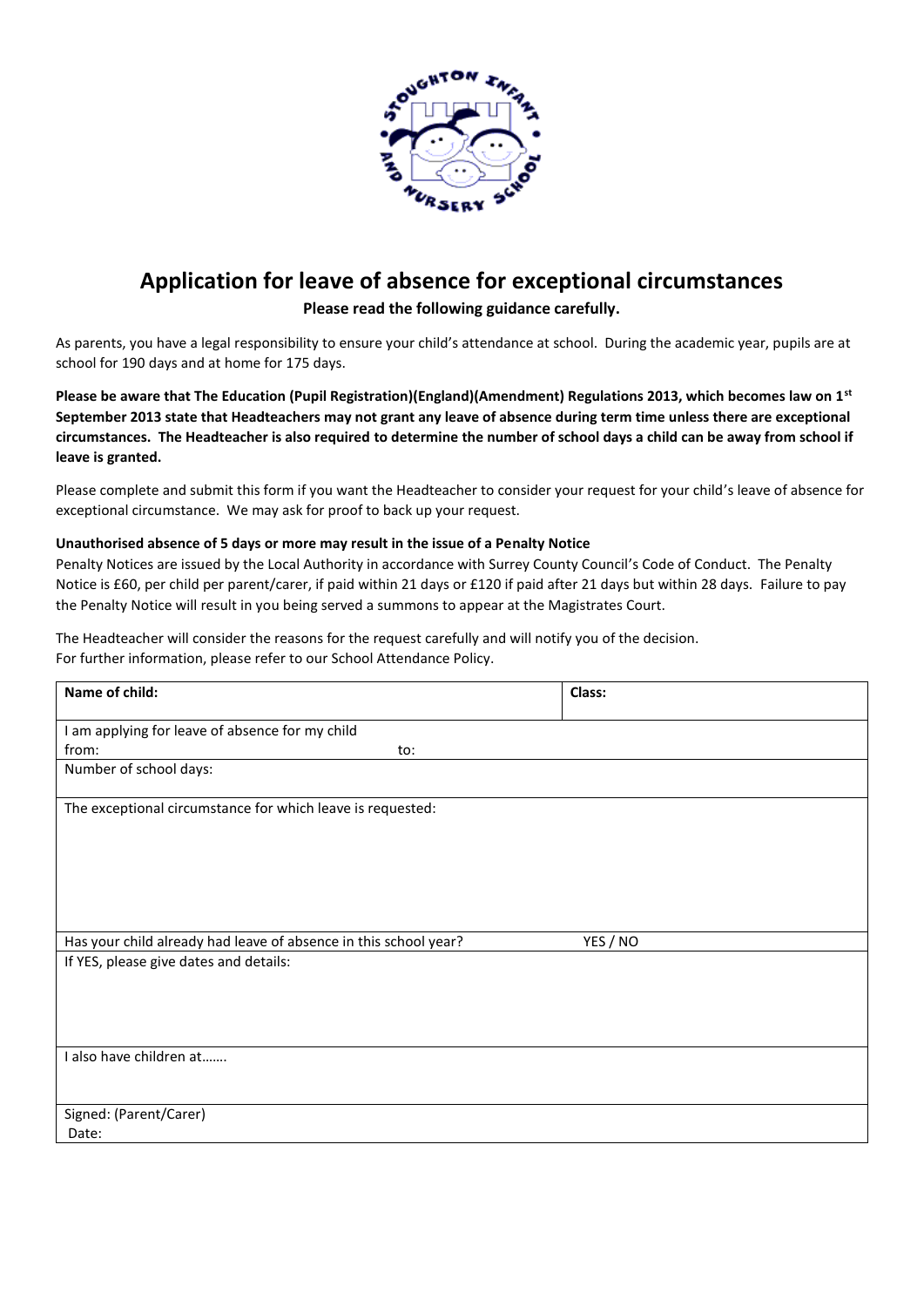

## **Application for leave of absence for exceptional circumstances**

## **Please read the following guidance carefully.**

As parents, you have a legal responsibility to ensure your child's attendance at school. During the academic year, pupils are at school for 190 days and at home for 175 days.

**Please be aware that The Education (Pupil Registration)(England)(Amendment) Regulations 2013, which becomes law on 1st September 2013 state that Headteachers may not grant any leave of absence during term time unless there are exceptional circumstances. The Headteacher is also required to determine the number of school days a child can be away from school if leave is granted.**

Please complete and submit this form if you want the Headteacher to consider your request for your child's leave of absence for exceptional circumstance. We may ask for proof to back up your request.

## **Unauthorised absence of 5 days or more may result in the issue of a Penalty Notice**

Penalty Notices are issued by the Local Authority in accordance with Surrey County Council's Code of Conduct. The Penalty Notice is £60, per child per parent/carer, if paid within 21 days or £120 if paid after 21 days but within 28 days. Failure to pay the Penalty Notice will result in you being served a summons to appear at the Magistrates Court.

The Headteacher will consider the reasons for the request carefully and will notify you of the decision. For further information, please refer to our School Attendance Policy.

| Name of child:                                                   |     | Class:   |  |
|------------------------------------------------------------------|-----|----------|--|
| I am applying for leave of absence for my child                  |     |          |  |
| from:                                                            | to: |          |  |
| Number of school days:                                           |     |          |  |
| The exceptional circumstance for which leave is requested:       |     |          |  |
| Has your child already had leave of absence in this school year? |     | YES / NO |  |
| If YES, please give dates and details:                           |     |          |  |
| I also have children at                                          |     |          |  |
| Signed: (Parent/Carer)                                           |     |          |  |
| Date:                                                            |     |          |  |